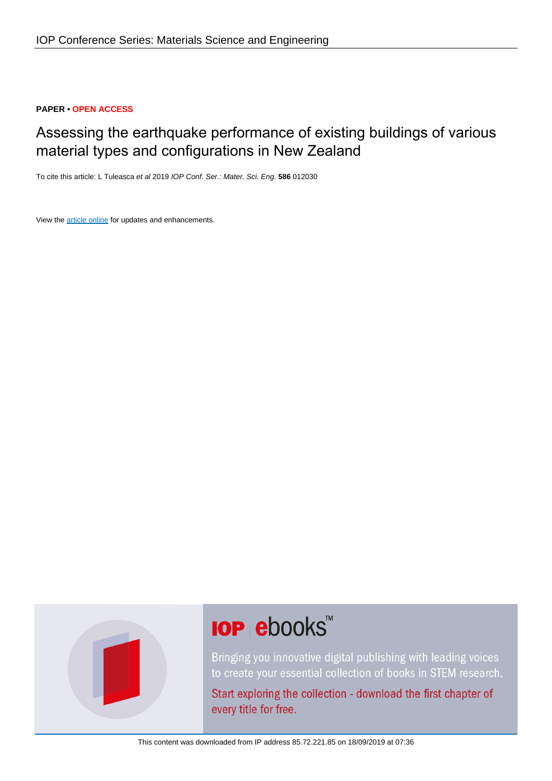### **PAPER • OPEN ACCESS**

# Assessing the earthquake performance of existing buildings of various material types and configurations in New Zealand

To cite this article: L Tuleasca et al 2019 IOP Conf. Ser.: Mater. Sci. Eng. **586** 012030

View the [article online](https://doi.org/10.1088/1757-899X/586/1/012030) for updates and enhancements.



# **IOP ebooks™**

Bringing you innovative digital publishing with leading voices to create your essential collection of books in STEM research.

Start exploring the collection - download the first chapter of every title for free.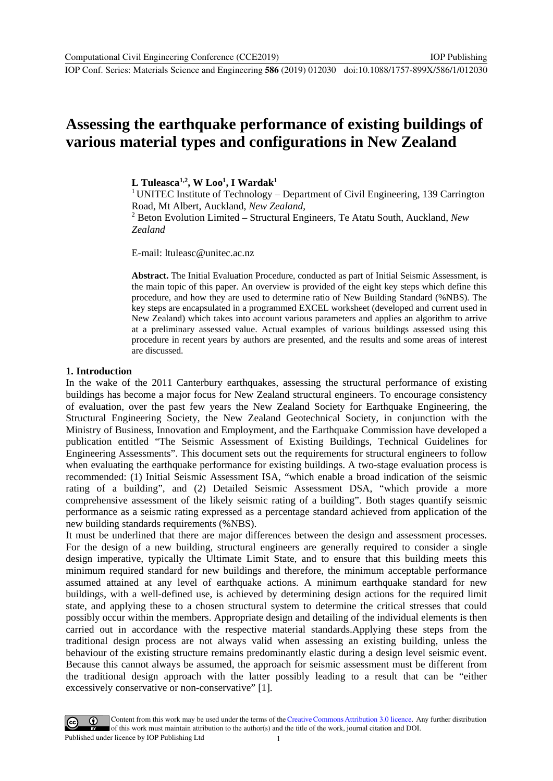# **Assessing the earthquake performance of existing buildings of various material types and configurations in New Zealand**

**L Tuleasca1,2, W Loo1 , I Wardak1**

<sup>1</sup> UNITEC Institute of Technology – Department of Civil Engineering, 139 Carrington Road, Mt Albert, Auckland, *New Zealand*,

<sup>2</sup> Beton Evolution Limited – Structural Engineers, Te Atatu South, Auckland, *New Zealand*

E-mail: ltuleasc@unitec.ac.nz

**Abstract.** The Initial Evaluation Procedure, conducted as part of Initial Seismic Assessment, is the main topic of this paper. An overview is provided of the eight key steps which define this procedure, and how they are used to determine ratio of New Building Standard (%NBS). The key steps are encapsulated in a programmed EXCEL worksheet (developed and current used in New Zealand) which takes into account various parameters and applies an algorithm to arrive at a preliminary assessed value. Actual examples of various buildings assessed using this procedure in recent years by authors are presented, and the results and some areas of interest are discussed.

#### **1. Introduction**

In the wake of the 2011 Canterbury earthquakes, assessing the structural performance of existing buildings has become a major focus for New Zealand structural engineers. To encourage consistency of evaluation, over the past few years the New Zealand Society for Earthquake Engineering, the Structural Engineering Society, the New Zealand Geotechnical Society, in conjunction with the Ministry of Business, Innovation and Employment, and the Earthquake Commission have developed a publication entitled "The Seismic Assessment of Existing Buildings, Technical Guidelines for Engineering Assessments". This document sets out the requirements for structural engineers to follow when evaluating the earthquake performance for existing buildings. A two-stage evaluation process is recommended: (1) Initial Seismic Assessment ISA, "which enable a broad indication of the seismic rating of a building", and (2) Detailed Seismic Assessment DSA, "which provide a more comprehensive assessment of the likely seismic rating of a building". Both stages quantify seismic performance as a seismic rating expressed as a percentage standard achieved from application of the new building standards requirements (%NBS).

It must be underlined that there are major differences between the design and assessment processes. For the design of a new building, structural engineers are generally required to consider a single design imperative, typically the Ultimate Limit State, and to ensure that this building meets this minimum required standard for new buildings and therefore, the minimum acceptable performance assumed attained at any level of earthquake actions. A minimum earthquake standard for new buildings, with a well-defined use, is achieved by determining design actions for the required limit state, and applying these to a chosen structural system to determine the critical stresses that could possibly occur within the members. Appropriate design and detailing of the individual elements is then carried out in accordance with the respective material standards.Applying these steps from the traditional design process are not always valid when assessing an existing building, unless the behaviour of the existing structure remains predominantly elastic during a design level seismic event. Because this cannot always be assumed, the approach for seismic assessment must be different from the traditional design approach with the latter possibly leading to a result that can be "either excessively conservative or non-conservative" [1].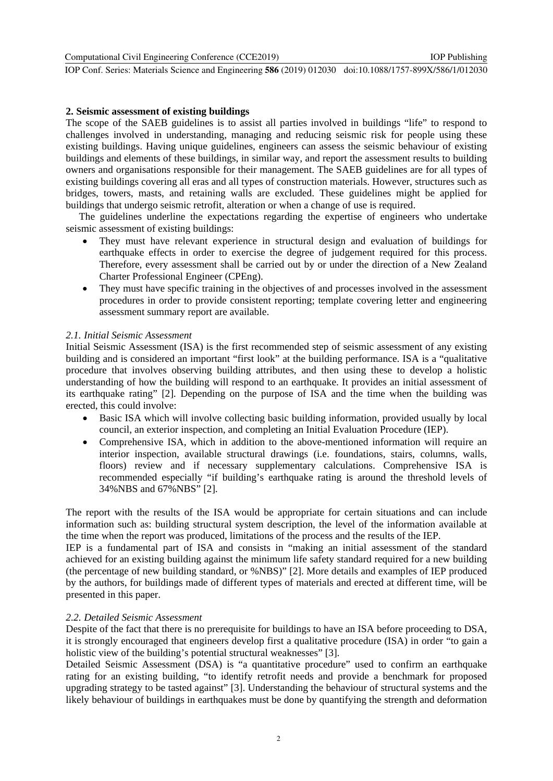Computational Civil Engineering Conference (CCE2019)

IOP Conf. Series: Materials Science and Engineering **586** (2019) 012030 doi:10.1088/1757-899X/586/1/012030

#### **2. Seismic assessment of existing buildings**

The scope of the SAEB guidelines is to assist all parties involved in buildings "life" to respond to challenges involved in understanding, managing and reducing seismic risk for people using these existing buildings. Having unique guidelines, engineers can assess the seismic behaviour of existing buildings and elements of these buildings, in similar way, and report the assessment results to building owners and organisations responsible for their management. The SAEB guidelines are for all types of existing buildings covering all eras and all types of construction materials. However, structures such as bridges, towers, masts, and retaining walls are excluded. These guidelines might be applied for buildings that undergo seismic retrofit, alteration or when a change of use is required.

The guidelines underline the expectations regarding the expertise of engineers who undertake seismic assessment of existing buildings:

- They must have relevant experience in structural design and evaluation of buildings for earthquake effects in order to exercise the degree of judgement required for this process. Therefore, every assessment shall be carried out by or under the direction of a New Zealand Charter Professional Engineer (CPEng).
- They must have specific training in the objectives of and processes involved in the assessment procedures in order to provide consistent reporting; template covering letter and engineering assessment summary report are available.

#### *2.1. Initial Seismic Assessment*

Initial Seismic Assessment (ISA) is the first recommended step of seismic assessment of any existing building and is considered an important "first look" at the building performance. ISA is a "qualitative procedure that involves observing building attributes, and then using these to develop a holistic understanding of how the building will respond to an earthquake. It provides an initial assessment of its earthquake rating" [2]. Depending on the purpose of ISA and the time when the building was erected, this could involve:

- Basic ISA which will involve collecting basic building information, provided usually by local council, an exterior inspection, and completing an Initial Evaluation Procedure (IEP).
- Comprehensive ISA, which in addition to the above-mentioned information will require an interior inspection, available structural drawings (i.e. foundations, stairs, columns, walls, floors) review and if necessary supplementary calculations. Comprehensive ISA is recommended especially "if building's earthquake rating is around the threshold levels of 34%NBS and 67%NBS" [2].

The report with the results of the ISA would be appropriate for certain situations and can include information such as: building structural system description, the level of the information available at the time when the report was produced, limitations of the process and the results of the IEP.

IEP is a fundamental part of ISA and consists in "making an initial assessment of the standard achieved for an existing building against the minimum life safety standard required for a new building (the percentage of new building standard, or %NBS)" [2]. More details and examples of IEP produced by the authors, for buildings made of different types of materials and erected at different time, will be presented in this paper.

# *2.2. Detailed Seismic Assessment*

Despite of the fact that there is no prerequisite for buildings to have an ISA before proceeding to DSA, it is strongly encouraged that engineers develop first a qualitative procedure (ISA) in order "to gain a holistic view of the building's potential structural weaknesses" [3].

Detailed Seismic Assessment (DSA) is "a quantitative procedure" used to confirm an earthquake rating for an existing building, "to identify retrofit needs and provide a benchmark for proposed upgrading strategy to be tasted against" [3]. Understanding the behaviour of structural systems and the likely behaviour of buildings in earthquakes must be done by quantifying the strength and deformation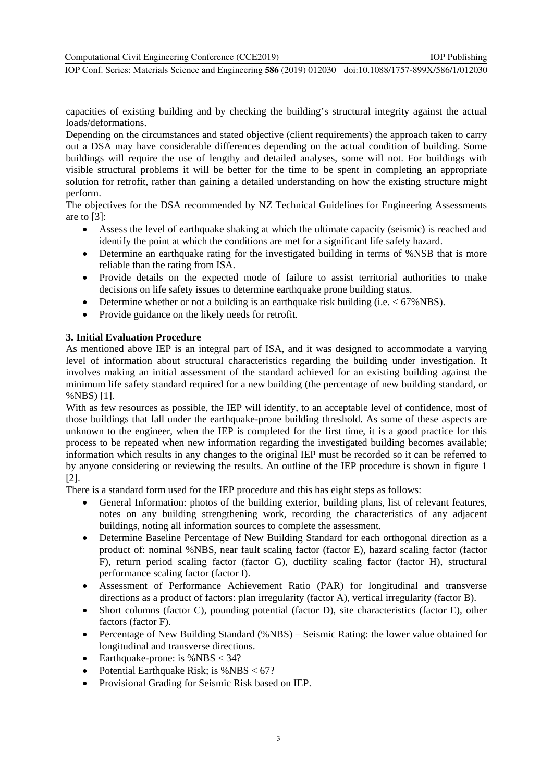capacities of existing building and by checking the building's structural integrity against the actual loads/deformations.

Depending on the circumstances and stated objective (client requirements) the approach taken to carry out a DSA may have considerable differences depending on the actual condition of building. Some buildings will require the use of lengthy and detailed analyses, some will not. For buildings with visible structural problems it will be better for the time to be spent in completing an appropriate solution for retrofit, rather than gaining a detailed understanding on how the existing structure might perform.

The objectives for the DSA recommended by NZ Technical Guidelines for Engineering Assessments are to [3]:

- Assess the level of earthquake shaking at which the ultimate capacity (seismic) is reached and identify the point at which the conditions are met for a significant life safety hazard.
- Determine an earthquake rating for the investigated building in terms of %NSB that is more reliable than the rating from ISA.
- Provide details on the expected mode of failure to assist territorial authorities to make decisions on life safety issues to determine earthquake prone building status.
- Determine whether or not a building is an earthquake risk building (i.e.  $\langle 67\%NBS \rangle$ ).
- Provide guidance on the likely needs for retrofit.

#### **3. Initial Evaluation Procedure**

As mentioned above IEP is an integral part of ISA, and it was designed to accommodate a varying level of information about structural characteristics regarding the building under investigation. It involves making an initial assessment of the standard achieved for an existing building against the minimum life safety standard required for a new building (the percentage of new building standard, or %NBS) [1].

With as few resources as possible, the IEP will identify, to an acceptable level of confidence, most of those buildings that fall under the earthquake-prone building threshold. As some of these aspects are unknown to the engineer, when the IEP is completed for the first time, it is a good practice for this process to be repeated when new information regarding the investigated building becomes available; information which results in any changes to the original IEP must be recorded so it can be referred to by anyone considering or reviewing the results. An outline of the IEP procedure is shown in figure 1 [2].

There is a standard form used for the IEP procedure and this has eight steps as follows:

- General Information: photos of the building exterior, building plans, list of relevant features, notes on any building strengthening work, recording the characteristics of any adjacent buildings, noting all information sources to complete the assessment.
- Determine Baseline Percentage of New Building Standard for each orthogonal direction as a product of: nominal %NBS, near fault scaling factor (factor E), hazard scaling factor (factor F), return period scaling factor (factor G), ductility scaling factor (factor H), structural performance scaling factor (factor I).
- Assessment of Performance Achievement Ratio (PAR) for longitudinal and transverse directions as a product of factors: plan irregularity (factor A), vertical irregularity (factor B).
- Short columns (factor C), pounding potential (factor D), site characteristics (factor E), other factors (factor F).
- Percentage of New Building Standard (%NBS) Seismic Rating: the lower value obtained for longitudinal and transverse directions.
- Earthquake-prone: is  $%$  NBS  $<$  34?
- Potential Earthquake Risk; is  $%$ NBS < 67?
- Provisional Grading for Seismic Risk based on IEP.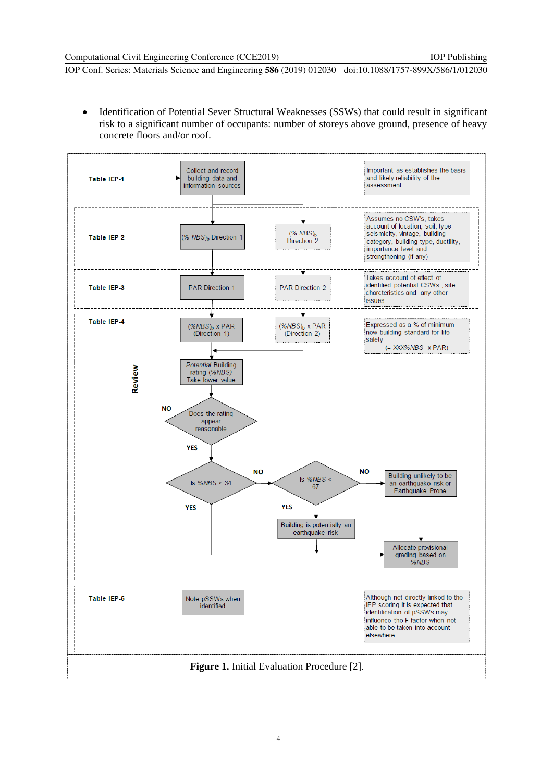• Identification of Potential Sever Structural Weaknesses (SSWs) that could result in significant risk to a significant number of occupants: number of storeys above ground, presence of heavy concrete floors and/or roof.

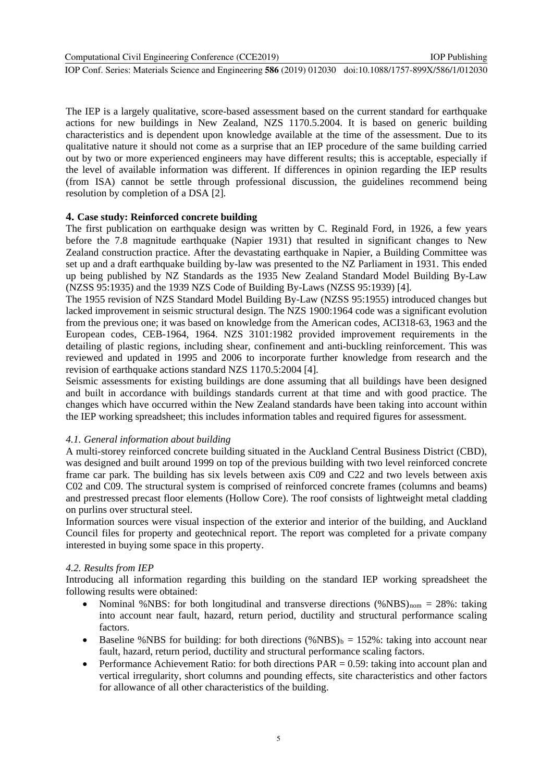Computational Civil Engineering Conference (CCE2019)

IOP Conf. Series: Materials Science and Engineering **586** (2019) 012030 doi:10.1088/1757-899X/586/1/012030

The IEP is a largely qualitative, score-based assessment based on the current standard for earthquake actions for new buildings in New Zealand, NZS 1170.5.2004. It is based on generic building characteristics and is dependent upon knowledge available at the time of the assessment. Due to its qualitative nature it should not come as a surprise that an IEP procedure of the same building carried out by two or more experienced engineers may have different results; this is acceptable, especially if the level of available information was different. If differences in opinion regarding the IEP results (from ISA) cannot be settle through professional discussion, the guidelines recommend being resolution by completion of a DSA [2].

#### **4. Case study: Reinforced concrete building**

The first publication on earthquake design was written by C. Reginald Ford, in 1926, a few years before the 7.8 magnitude earthquake (Napier 1931) that resulted in significant changes to New Zealand construction practice. After the devastating earthquake in Napier, a Building Committee was set up and a draft earthquake building by-law was presented to the NZ Parliament in 1931. This ended up being published by NZ Standards as the 1935 New Zealand Standard Model Building By-Law (NZSS 95:1935) and the 1939 NZS Code of Building By-Laws (NZSS 95:1939) [4].

The 1955 revision of NZS Standard Model Building By-Law (NZSS 95:1955) introduced changes but lacked improvement in seismic structural design. The NZS 1900:1964 code was a significant evolution from the previous one; it was based on knowledge from the American codes, ACI318-63, 1963 and the European codes, CEB-1964, 1964. NZS 3101:1982 provided improvement requirements in the detailing of plastic regions, including shear, confinement and anti-buckling reinforcement. This was reviewed and updated in 1995 and 2006 to incorporate further knowledge from research and the revision of earthquake actions standard NZS 1170.5:2004 [4].

Seismic assessments for existing buildings are done assuming that all buildings have been designed and built in accordance with buildings standards current at that time and with good practice. The changes which have occurred within the New Zealand standards have been taking into account within the IEP working spreadsheet; this includes information tables and required figures for assessment.

#### *4.1. General information about building*

A multi-storey reinforced concrete building situated in the Auckland Central Business District (CBD), was designed and built around 1999 on top of the previous building with two level reinforced concrete frame car park. The building has six levels between axis C09 and C22 and two levels between axis C02 and C09. The structural system is comprised of reinforced concrete frames (columns and beams) and prestressed precast floor elements (Hollow Core). The roof consists of lightweight metal cladding on purlins over structural steel.

Information sources were visual inspection of the exterior and interior of the building, and Auckland Council files for property and geotechnical report. The report was completed for a private company interested in buying some space in this property.

#### *4.2. Results from IEP*

Introducing all information regarding this building on the standard IEP working spreadsheet the following results were obtained:

- Nominal %NBS: for both longitudinal and transverse directions  $(\%NBS)_{nom} = 28\%$ : taking into account near fault, hazard, return period, ductility and structural performance scaling factors.
- Baseline %NBS for building: for both directions  $(\%NBS)_b = 152\%$ : taking into account near fault, hazard, return period, ductility and structural performance scaling factors.
- Performance Achievement Ratio: for both directions  $PAR = 0.59$ : taking into account plan and vertical irregularity, short columns and pounding effects, site characteristics and other factors for allowance of all other characteristics of the building.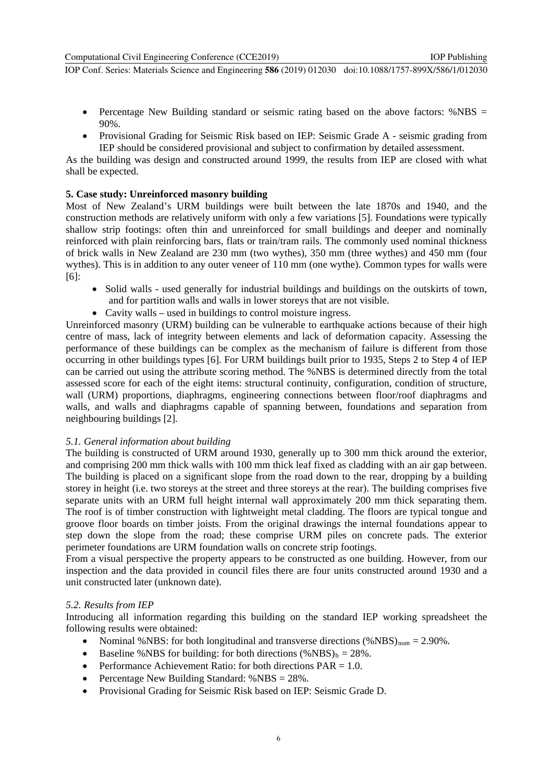- Percentage New Building standard or seismic rating based on the above factors: %NBS = 90%.
- Provisional Grading for Seismic Risk based on IEP: Seismic Grade A seismic grading from IEP should be considered provisional and subject to confirmation by detailed assessment.

As the building was design and constructed around 1999, the results from IEP are closed with what shall be expected.

# **5. Case study: Unreinforced masonry building**

Most of New Zealand's URM buildings were built between the late 1870s and 1940, and the construction methods are relatively uniform with only a few variations [5]. Foundations were typically shallow strip footings: often thin and unreinforced for small buildings and deeper and nominally reinforced with plain reinforcing bars, flats or train/tram rails. The commonly used nominal thickness of brick walls in New Zealand are 230 mm (two wythes), 350 mm (three wythes) and 450 mm (four wythes). This is in addition to any outer veneer of 110 mm (one wythe). Common types for walls were [6]:

- Solid walls used generally for industrial buildings and buildings on the outskirts of town, and for partition walls and walls in lower storeys that are not visible.
- Cavity walls used in buildings to control moisture ingress.

Unreinforced masonry (URM) building can be vulnerable to earthquake actions because of their high centre of mass, lack of integrity between elements and lack of deformation capacity. Assessing the performance of these buildings can be complex as the mechanism of failure is different from those occurring in other buildings types [6]. For URM buildings built prior to 1935, Steps 2 to Step 4 of IEP can be carried out using the attribute scoring method. The %NBS is determined directly from the total assessed score for each of the eight items: structural continuity, configuration, condition of structure, wall (URM) proportions, diaphragms, engineering connections between floor/roof diaphragms and walls, and walls and diaphragms capable of spanning between, foundations and separation from neighbouring buildings [2].

# *5.1. General information about building*

The building is constructed of URM around 1930, generally up to 300 mm thick around the exterior, and comprising 200 mm thick walls with 100 mm thick leaf fixed as cladding with an air gap between. The building is placed on a significant slope from the road down to the rear, dropping by a building storey in height (i.e. two storeys at the street and three storeys at the rear). The building comprises five separate units with an URM full height internal wall approximately 200 mm thick separating them. The roof is of timber construction with lightweight metal cladding. The floors are typical tongue and groove floor boards on timber joists. From the original drawings the internal foundations appear to step down the slope from the road; these comprise URM piles on concrete pads. The exterior perimeter foundations are URM foundation walls on concrete strip footings.

From a visual perspective the property appears to be constructed as one building. However, from our inspection and the data provided in council files there are four units constructed around 1930 and a unit constructed later (unknown date).

# *5.2. Results from IEP*

Introducing all information regarding this building on the standard IEP working spreadsheet the following results were obtained:

- Nominal %NBS: for both longitudinal and transverse directions  $(\%NBS)_{nom} = 2.90\%$ .
- Baseline %NBS for building: for both directions  $(\%NBS)_b = 28\%$ .
- Performance Achievement Ratio: for both directions  $PAR = 1.0$ .
- Percentage New Building Standard:  $%$ NBS = 28%.
- Provisional Grading for Seismic Risk based on IEP: Seismic Grade D.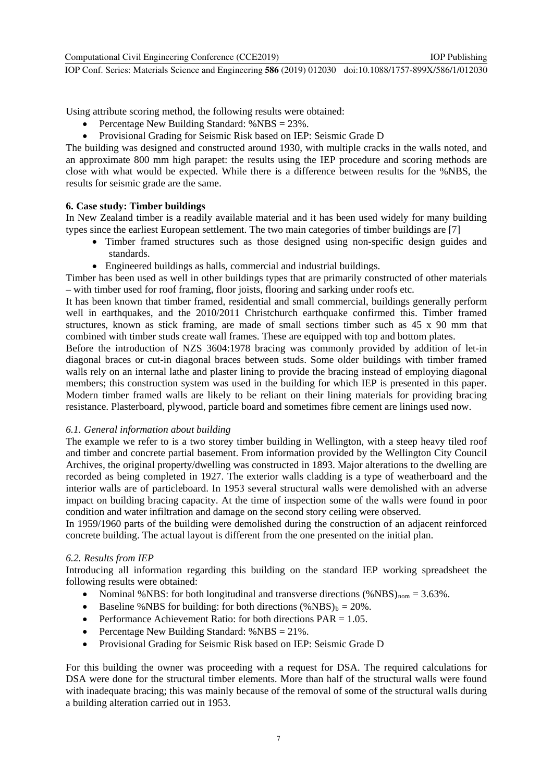Using attribute scoring method, the following results were obtained:

- Percentage New Building Standard: %NBS = 23%.
- Provisional Grading for Seismic Risk based on IEP: Seismic Grade D

The building was designed and constructed around 1930, with multiple cracks in the walls noted, and an approximate 800 mm high parapet: the results using the IEP procedure and scoring methods are close with what would be expected. While there is a difference between results for the %NBS, the results for seismic grade are the same.

#### **6. Case study: Timber buildings**

In New Zealand timber is a readily available material and it has been used widely for many building types since the earliest European settlement. The two main categories of timber buildings are [7]

- Timber framed structures such as those designed using non-specific design guides and standards.
- Engineered buildings as halls, commercial and industrial buildings.

Timber has been used as well in other buildings types that are primarily constructed of other materials – with timber used for roof framing, floor joists, flooring and sarking under roofs etc.

It has been known that timber framed, residential and small commercial, buildings generally perform well in earthquakes, and the 2010/2011 Christchurch earthquake confirmed this. Timber framed structures, known as stick framing, are made of small sections timber such as 45 x 90 mm that combined with timber studs create wall frames. These are equipped with top and bottom plates.

Before the introduction of NZS 3604:1978 bracing was commonly provided by addition of let-in diagonal braces or cut-in diagonal braces between studs. Some older buildings with timber framed walls rely on an internal lathe and plaster lining to provide the bracing instead of employing diagonal members; this construction system was used in the building for which IEP is presented in this paper. Modern timber framed walls are likely to be reliant on their lining materials for providing bracing resistance. Plasterboard, plywood, particle board and sometimes fibre cement are linings used now.

#### *6.1. General information about building*

The example we refer to is a two storey timber building in Wellington, with a steep heavy tiled roof and timber and concrete partial basement. From information provided by the Wellington City Council Archives, the original property/dwelling was constructed in 1893. Major alterations to the dwelling are recorded as being completed in 1927. The exterior walls cladding is a type of weatherboard and the interior walls are of particleboard. In 1953 several structural walls were demolished with an adverse impact on building bracing capacity. At the time of inspection some of the walls were found in poor condition and water infiltration and damage on the second story ceiling were observed.

In 1959/1960 parts of the building were demolished during the construction of an adjacent reinforced concrete building. The actual layout is different from the one presented on the initial plan.

#### *6.2. Results from IEP*

Introducing all information regarding this building on the standard IEP working spreadsheet the following results were obtained:

- Nominal %NBS: for both longitudinal and transverse directions  $% NBS_{nom} = 3.63\%$ .
- Baseline %NBS for building: for both directions  $(\%NBS)_b = 20\%$ .
- Performance Achievement Ratio: for both directions  $PAR = 1.05$ .
- Percentage New Building Standard:  $%$ NBS = 21%.
- Provisional Grading for Seismic Risk based on IEP: Seismic Grade D

For this building the owner was proceeding with a request for DSA. The required calculations for DSA were done for the structural timber elements. More than half of the structural walls were found with inadequate bracing; this was mainly because of the removal of some of the structural walls during a building alteration carried out in 1953.